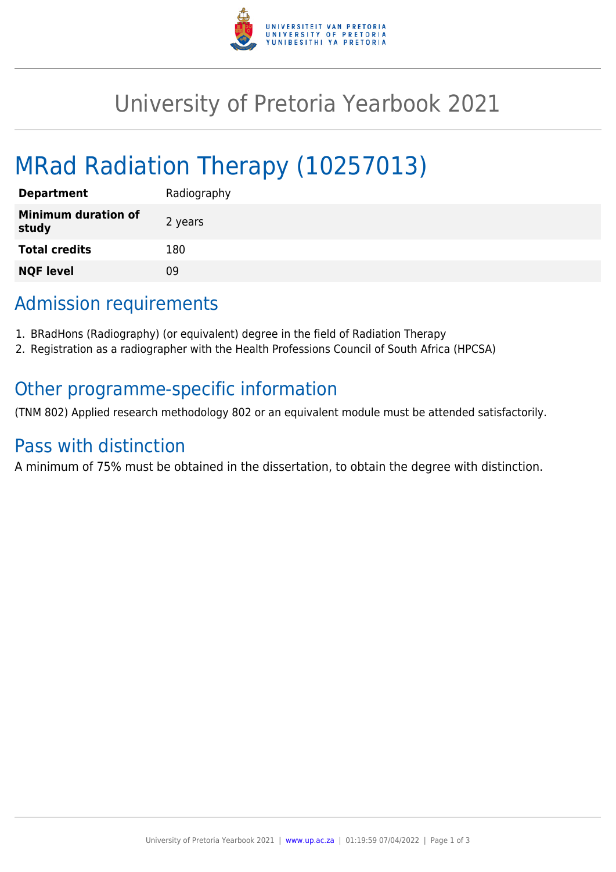

# University of Pretoria Yearbook 2021

# MRad Radiation Therapy (10257013)

| <b>Department</b>                   | Radiography |
|-------------------------------------|-------------|
| <b>Minimum duration of</b><br>study | 2 years     |
| <b>Total credits</b>                | 180         |
| <b>NQF level</b>                    | ΩÓ          |

## Admission requirements

- 1. BRadHons (Radiography) (or equivalent) degree in the field of Radiation Therapy
- 2. Registration as a radiographer with the Health Professions Council of South Africa (HPCSA)

### Other programme-specific information

(TNM 802) Applied research methodology 802 or an equivalent module must be attended satisfactorily.

### Pass with distinction

A minimum of 75% must be obtained in the dissertation, to obtain the degree with distinction.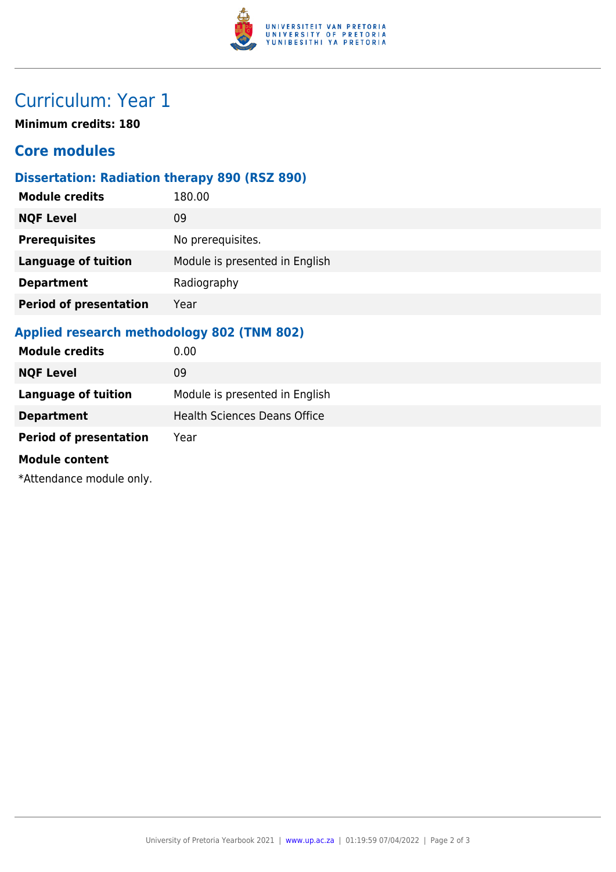

## Curriculum: Year 1

**Minimum credits: 180**

### **Core modules**

#### **Dissertation: Radiation therapy 890 (RSZ 890)**

| <b>Module credits</b>         | 180.00                         |
|-------------------------------|--------------------------------|
| <b>NQF Level</b>              | 09                             |
| <b>Prerequisites</b>          | No prerequisites.              |
| <b>Language of tuition</b>    | Module is presented in English |
| <b>Department</b>             | Radiography                    |
| <b>Period of presentation</b> | Year                           |
|                               |                                |

#### **Applied research methodology 802 (TNM 802)**

| <b>Module credits</b>         | 0.00                                |
|-------------------------------|-------------------------------------|
| <b>NQF Level</b>              | 09                                  |
| <b>Language of tuition</b>    | Module is presented in English      |
| <b>Department</b>             | <b>Health Sciences Deans Office</b> |
| <b>Period of presentation</b> | Year                                |
| <b>Module content</b>         |                                     |
| *Attendance module only.      |                                     |